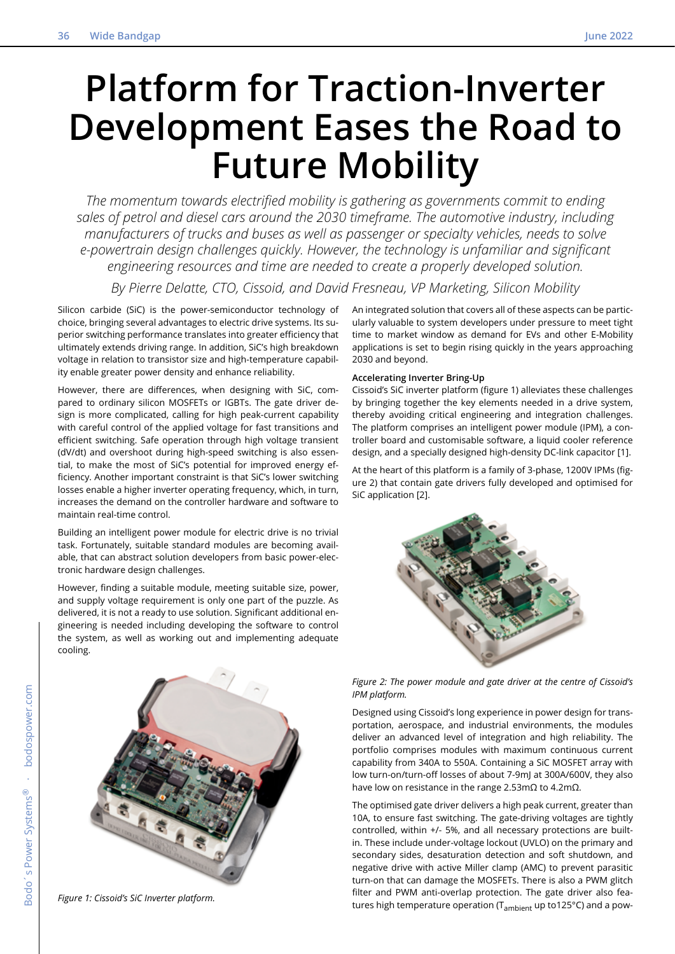# **Platform for Traction-Inverter Development Eases the Road to Future Mobility**

*The momentum towards electrified mobility is gathering as governments commit to ending sales of petrol and diesel cars around the 2030 timeframe. The automotive industry, including manufacturers of trucks and buses as well as passenger or specialty vehicles, needs to solve e-powertrain design challenges quickly. However, the technology is unfamiliar and significant engineering resources and time are needed to create a properly developed solution.*

*By Pierre Delatte, CTO, Cissoid, and David Fresneau, VP Marketing, Silicon Mobility*

Silicon carbide (SiC) is the power-semiconductor technology of choice, bringing several advantages to electric drive systems. Its superior switching performance translates into greater efficiency that ultimately extends driving range. In addition, SiC's high breakdown voltage in relation to transistor size and high-temperature capability enable greater power density and enhance reliability.

However, there are differences, when designing with SiC, compared to ordinary silicon MOSFETs or IGBTs. The gate driver design is more complicated, calling for high peak-current capability with careful control of the applied voltage for fast transitions and efficient switching. Safe operation through high voltage transient (dV/dt) and overshoot during high-speed switching is also essential, to make the most of SiC's potential for improved energy efficiency. Another important constraint is that SiC's lower switching losses enable a higher inverter operating frequency, which, in turn, increases the demand on the controller hardware and software to maintain real-time control.

Building an intelligent power module for electric drive is no trivial task. Fortunately, suitable standard modules are becoming available, that can abstract solution developers from basic power-electronic hardware design challenges.

However, finding a suitable module, meeting suitable size, power, and supply voltage requirement is only one part of the puzzle. As delivered, it is not a ready to use solution. Significant additional engineering is needed including developing the software to control the system, as well as working out and implementing adequate cooling.

An integrated solution that covers all of these aspects can be particularly valuable to system developers under pressure to meet tight time to market window as demand for EVs and other E-Mobility applications is set to begin rising quickly in the years approaching 2030 and beyond.

## **Accelerating Inverter Bring-Up**

Cissoid's SiC inverter platform (figure 1) alleviates these challenges by bringing together the key elements needed in a drive system, thereby avoiding critical engineering and integration challenges. The platform comprises an intelligent power module (IPM), a controller board and customisable software, a liquid cooler reference design, and a specially designed high-density DC-link capacitor [1].

At the heart of this platform is a family of 3-phase, 1200V IPMs (figure 2) that contain gate drivers fully developed and optimised for SiC application [2].





*Figure 1: Cissoid's SiC Inverter platform.*



Designed using Cissoid's long experience in power design for transportation, aerospace, and industrial environments, the modules deliver an advanced level of integration and high reliability. The portfolio comprises modules with maximum continuous current capability from 340A to 550A. Containing a SiC MOSFET array with low turn-on/turn-off losses of about 7-9mJ at 300A/600V, they also have low on resistance in the range 2.53mΩ to 4.2mΩ.

The optimised gate driver delivers a high peak current, greater than 10A, to ensure fast switching. The gate-driving voltages are tightly controlled, within +/- 5%, and all necessary protections are builtin. These include under-voltage lockout (UVLO) on the primary and secondary sides, desaturation detection and soft shutdown, and negative drive with active Miller clamp (AMC) to prevent parasitic turn-on that can damage the MOSFETs. There is also a PWM glitch filter and PWM anti-overlap protection. The gate driver also features high temperature operation ( $T_{\text{ambient}}$  up to125°C) and a pow-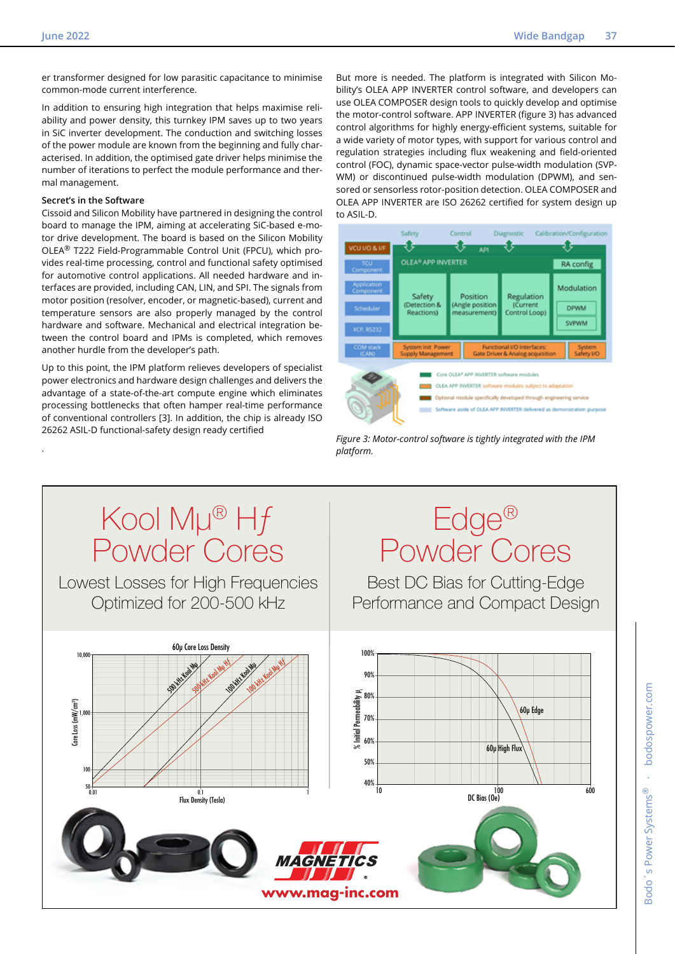er transformer designed for low parasitic capacitance to minimise common-mode current interference.

In addition to ensuring high integration that helps maximise reliability and power density, this turnkey IPM saves up to two years in SiC inverter development. The conduction and switching losses of the power module are known from the beginning and fully characterised. In addition, the optimised gate driver helps minimise the number of iterations to perfect the module performance and thermal management.

## **Secret's in the Software**

.

Cissoid and Silicon Mobility have partnered in designing the control board to manage the IPM, aiming at accelerating SiC-based e-motor drive development. The board is based on the Silicon Mobility OLEA® T222 Field-Programmable Control Unit (FPCU), which provides real-time processing, control and functional safety optimised for automotive control applications. All needed hardware and interfaces are provided, including CAN, LIN, and SPI. The signals from motor position (resolver, encoder, or magnetic-based), current and temperature sensors are also properly managed by the control hardware and software. Mechanical and electrical integration between the control board and IPMs is completed, which removes another hurdle from the developer's path.

Up to this point, the IPM platform relieves developers of specialist power electronics and hardware design challenges and delivers the advantage of a state-of-the-art compute engine which eliminates processing bottlenecks that often hamper real-time performance of conventional controllers [3]. In addition, the chip is already ISO 26262 ASIL-D functional-safety design ready certified

But more is needed. The platform is integrated with Silicon Mobility's OLEA APP INVERTER control software, and developers can use OLEA COMPOSER design tools to quickly develop and optimise the motor-control software. APP INVERTER (figure 3) has advanced control algorithms for highly energy-efficient systems, suitable for a wide variety of motor types, with support for various control and regulation strategies including flux weakening and field-oriented control (FOC), dynamic space-vector pulse-width modulation (SVP-WM) or discontinued pulse-width modulation (DPWM), and sensored or sensorless rotor-position detection. OLEA COMPOSER and OLEA APP INVERTER are ISO 26262 certified for system design up to ASIL-D.